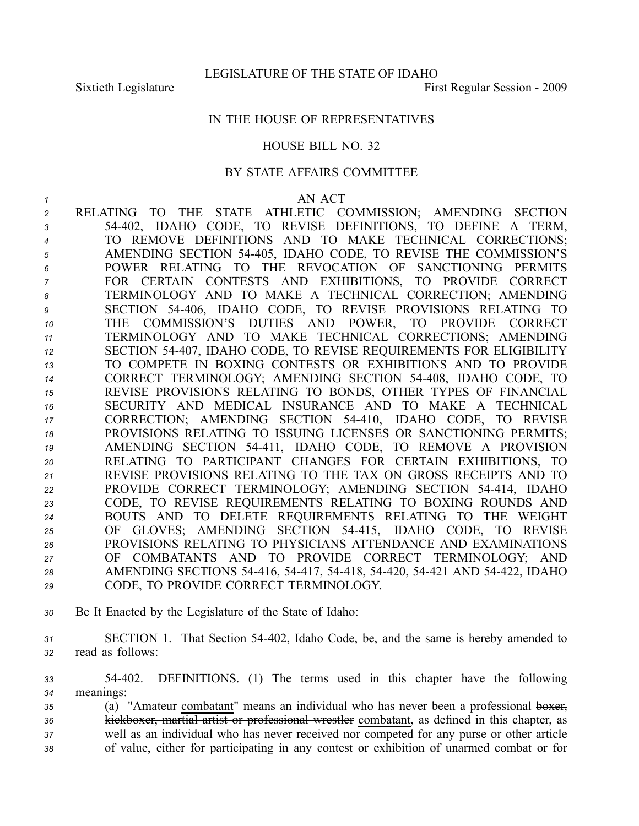## IN THE HOUSE OF REPRESENTATIVES

## HOUSE BILL NO. 32

## BY STATE AFFAIRS COMMITTEE

*1* AN ACT RELATING TO THE STATE ATHLETIC COMMISSION; AMENDING SECTION 54402, IDAHO CODE, TO REVISE DEFINITIONS, TO DEFINE A TERM, TO REMOVE DEFINITIONS AND TO MAKE TECHNICAL CORRECTIONS; AMENDING SECTION 54405, IDAHO CODE, TO REVISE THE COMMISSION'S POWER RELATING TO THE REVOCATION OF SANCTIONING PERMITS FOR CERTAIN CONTESTS AND EXHIBITIONS, TO PROVIDE CORRECT TERMINOLOGY AND TO MAKE A TECHNICAL CORRECTION; AMENDING SECTION 54406, IDAHO CODE, TO REVISE PROVISIONS RELATING TO THE COMMISSION'S DUTIES AND POWER, TO PROVIDE CORRECT TERMINOLOGY AND TO MAKE TECHNICAL CORRECTIONS; AMENDING SECTION 54407, IDAHO CODE, TO REVISE REQUIREMENTS FOR ELIGIBILITY TO COMPETE IN BOXING CONTESTS OR EXHIBITIONS AND TO PROVIDE CORRECT TERMINOLOGY; AMENDING SECTION 54408, IDAHO CODE, TO REVISE PROVISIONS RELATING TO BONDS, OTHER TYPES OF FINANCIAL SECURITY AND MEDICAL INSURANCE AND TO MAKE A TECHNICAL CORRECTION; AMENDING SECTION 54410, IDAHO CODE, TO REVISE PROVISIONS RELATING TO ISSUING LICENSES OR SANCTIONING PERMITS; AMENDING SECTION 54411, IDAHO CODE, TO REMOVE A PROVISION RELATING TO PARTICIPANT CHANGES FOR CERTAIN EXHIBITIONS, TO REVISE PROVISIONS RELATING TO THE TAX ON GROSS RECEIPTS AND TO PROVIDE CORRECT TERMINOLOGY; AMENDING SECTION 54414, IDAHO CODE, TO REVISE REQUIREMENTS RELATING TO BOXING ROUNDS AND BOUTS AND TO DELETE REQUIREMENTS RELATING TO THE WEIGHT OF GLOVES; AMENDING SECTION 54415, IDAHO CODE, TO REVISE PROVISIONS RELATING TO PHYSICIANS ATTENDANCE AND EXAMINATIONS OF COMBATANTS AND TO PROVIDE CORRECT TERMINOLOGY; AND AMENDING SECTIONS 54416, 54417, 54418, 54420, 54421 AND 54422, IDAHO CODE, TO PROVIDE CORRECT TERMINOLOGY.

- *<sup>30</sup>* Be It Enacted by the Legislature of the State of Idaho:
- *<sup>31</sup>* SECTION 1. That Section 54402, Idaho Code, be, and the same is hereby amended to *<sup>32</sup>* read as follows:

*<sup>33</sup>* 54402. DEFINITIONS. (1) The terms used in this chapter have the following *<sup>34</sup>* meanings:

 (a) "Amateur combatant" means an individual who has never been <sup>a</sup> professional boxer, kickboxer, martial artist or professional wrestler combatant, as defined in this chapter, as well as an individual who has never received nor competed for any purse or other article of value, either for participating in any contest or exhibition of unarmed combat or for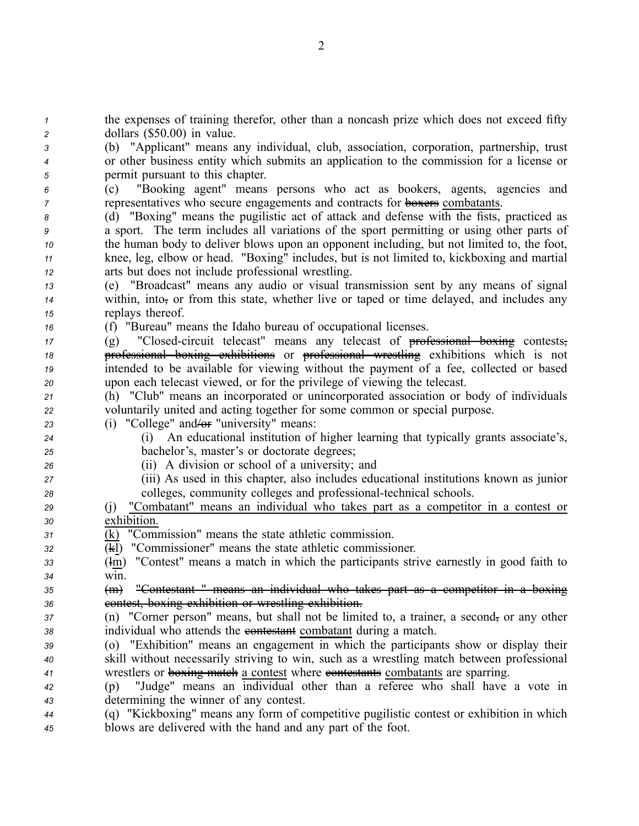the expenses of training therefor, other than <sup>a</sup> noncash prize which does not exceed fifty dollars (\$50.00) in value. (b) "Applicant" means any individual, club, association, corporation, partnership, trust or other business entity which submits an application to the commission for <sup>a</sup> license or permit pursuan<sup>t</sup> to this chapter. (c) "Booking agent" means persons who act as bookers, agents, agencies and representatives who secure engagements and contracts for **boxers** combatants. (d) "Boxing" means the pugilistic act of attack and defense with the fists, practiced as <sup>a</sup> sport. The term includes all variations of the spor<sup>t</sup> permitting or using other parts of the human body to deliver blows upon an opponen<sup>t</sup> including, but not limited to, the foot, knee, leg, elbow or head. "Boxing" includes, but is not limited to, kickboxing and martial arts but does not include professional wrestling. (e) "Broadcast" means any audio or visual transmission sent by any means of signal within, into, or from this state, whether live or taped or time delayed, and includes any replays thereof. (f) "Bureau" means the Idaho bureau of occupational licenses. 17 (g) "Closed-circuit telecast" means any telecast of professional boxing contests, professional boxing exhibitions or professional wrestling exhibitions which is not intended to be available for viewing without the paymen<sup>t</sup> of <sup>a</sup> fee, collected or based upon each telecast viewed, or for the privilege of viewing the telecast. (h) "Club" means an incorporated or unincorporated association or body of individuals voluntarily united and acting together for some common or special purpose. (i) "College" and/or "university" means: (i) An educational institution of higher learning that typically grants associate's, bachelor's, master's or doctorate degrees; (ii) A division or school of <sup>a</sup> university; and (iii) As used in this chapter, also includes educational institutions known as junior 28 colleges, community colleges and professional-technical schools. (j) "Combatant" means an individual who takes par<sup>t</sup> as <sup>a</sup> competitor in <sup>a</sup> contest or exhibition. (k) "Commission" means the state athletic commission. (kl) "Commissioner" means the state athletic commissioner. (lm) "Contest" means <sup>a</sup> match in which the participants strive earnestly in good faith to *<sup>34</sup>* win. (m) "Contestant " means an individual who takes par<sup>t</sup> as <sup>a</sup> competitor in <sup>a</sup> boxing contest, boxing exhibition or wrestling exhibition. (n) "Corner person" means, but shall not be limited to, a trainer, a second, or any other individual who attends the contestant combatant during <sup>a</sup> match. (o) "Exhibition" means an engagemen<sup>t</sup> in which the participants show or display their skill without necessarily striving to win, such as <sup>a</sup> wrestling match between professional wrestlers or boxing match <sup>a</sup> contest where contestants combatants are sparring. (p) "Judge" means an individual other than <sup>a</sup> referee who shall have <sup>a</sup> vote in determining the winner of any contest. (q) "Kickboxing" means any form of competitive pugilistic contest or exhibition in which blows are delivered with the hand and any par<sup>t</sup> of the foot.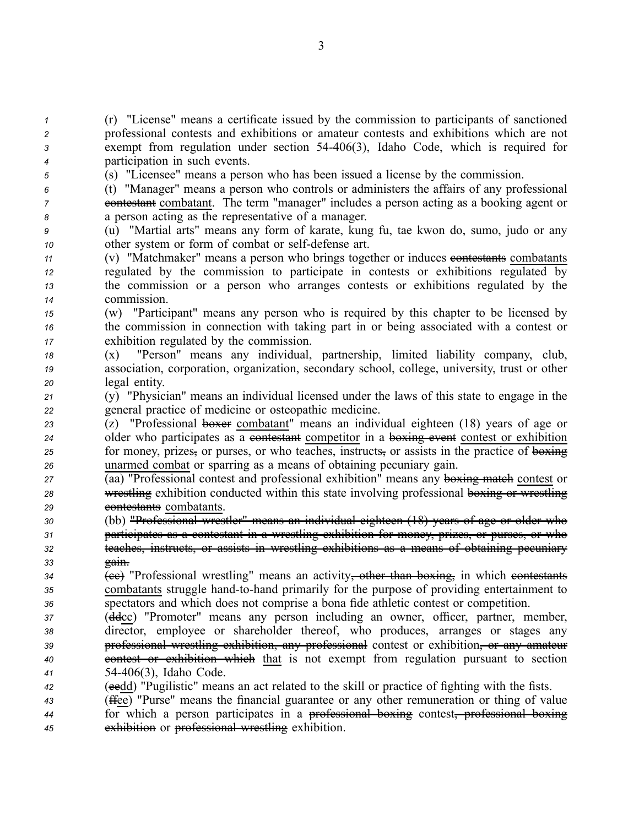(r) "License" means <sup>a</sup> certificate issued by the commission to participants of sanctioned professional contests and exhibitions or amateur contests and exhibitions which are not exemp<sup>t</sup> from regulation under section 54406(3), Idaho Code, which is required for participation in such events.

*<sup>5</sup>* (s) "Licensee" means <sup>a</sup> person who has been issued <sup>a</sup> license by the commission.

*<sup>6</sup>* (t) "Manager" means <sup>a</sup> person who controls or administers the affairs of any professional *7* contestant combatant. The term "manager" includes a person acting as a booking agent or *<sup>8</sup>* <sup>a</sup> person acting as the representative of <sup>a</sup> manager.

*<sup>9</sup>* (u) "Martial arts" means any form of karate, kung fu, tae kwon do, sumo, judo or any *10* other system or form of combat or self-defense art.

 (v) "Matchmaker" means <sup>a</sup> person who brings together or induces contestants combatants regulated by the commission to participate in contests or exhibitions regulated by the commission or <sup>a</sup> person who arranges contests or exhibitions regulated by the commission.

*<sup>15</sup>* (w) "Participant" means any person who is required by this chapter to be licensed by *<sup>16</sup>* the commission in connection with taking par<sup>t</sup> in or being associated with <sup>a</sup> contest or *<sup>17</sup>* exhibition regulated by the commission.

*<sup>18</sup>* (x) "Person" means any individual, partnership, limited liability company, club, *<sup>19</sup>* association, corporation, organization, secondary school, college, university, trust or other *<sup>20</sup>* legal entity.

*<sup>21</sup>* (y) "Physician" means an individual licensed under the laws of this state to engage in the *<sup>22</sup>* general practice of medicine or osteopathic medicine.

 (z) "Professional boxer combatant" means an individual eighteen (18) years of age or 24 older who participates as a contestant competitor in a boxing event contest or exhibition for money, prizes, or purses, or who teaches, instructs, or assists in the practice of boxing unarmed combat or sparring as <sup>a</sup> means of obtaining pecuniary gain.

*27* (aa) "Professional contest and professional exhibition" means any boxing match contest or **28** wrestling exhibition conducted within this state involving professional boxing or wrestling 29 contestants combatants.

 (bb) "Professional wrestler" means an individual eighteen (18) years of age or older who participates as <sup>a</sup> contestant in <sup>a</sup> wrestling exhibition for money, prizes, or purses, or who teaches, instructs, or assists in wrestling exhibitions as <sup>a</sup> means of obtaining pecuniary *<sup>33</sup>* gain.

*34* (ce) "Professional wrestling" means an activity<del>, other than boxing,</del> in which contestants *35* combatants struggle hand-to-hand primarily for the purpose of providing entertainment to *<sup>36</sup>* spectators and which does not comprise <sup>a</sup> bona fide athletic contest or competition.

 (ddcc) "Promoter" means any person including an owner, officer, partner, member, director, employee or shareholder thereof, who produces, arranges or stages any professional wrestling exhibition, any professional contest or exhibition, or any amateur contest or exhibition which that is not exemp<sup>t</sup> from regulation pursuan<sup>t</sup> to section 54406(3), Idaho Code.

*<sup>42</sup>* (eedd) "Pugilistic" means an act related to the skill or practice of fighting with the fists.

*<sup>43</sup>* (ffee) "Purse" means the financial guarantee or any other remuneration or thing of value *<sup>44</sup>* for which <sup>a</sup> person participates in <sup>a</sup> professional boxing contest, professional boxing *<sup>45</sup>* exhibition or professional wrestling exhibition.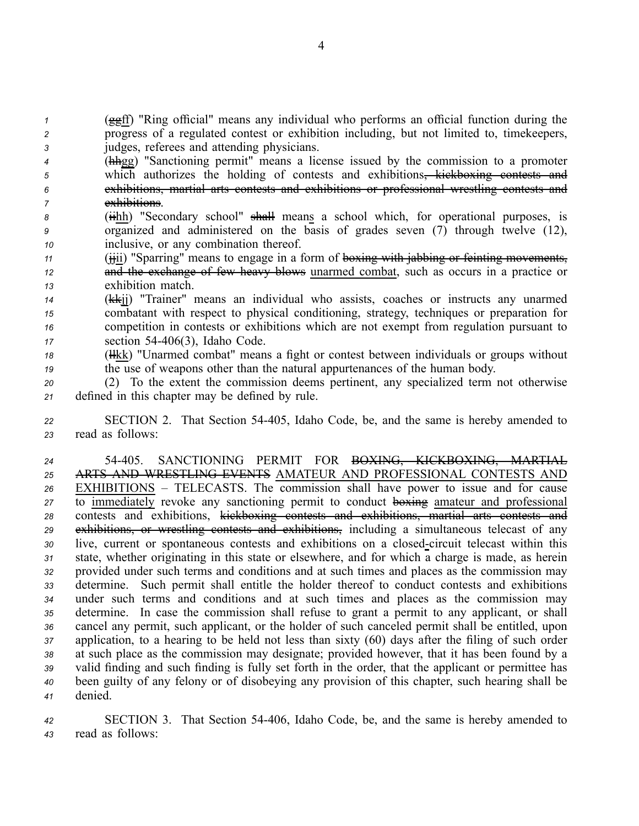*<sup>1</sup>* (ggff) "Ring official" means any individual who performs an official function during the *<sup>2</sup>* progress of <sup>a</sup> regulated contest or exhibition including, but not limited to, timekeepers, *<sup>3</sup>* judges, referees and attending physicians.

 (hhgg) "Sanctioning permit" means <sup>a</sup> license issued by the commission to <sup>a</sup> promoter <sup>5</sup> which authorizes the holding of contests and exhibitions<del>, kickboxing contests and</del> exhibitions, martial arts contests and exhibitions or professional wrestling contests and exhibitions.

8 (iihh) "Secondary school" shall means a school which, for operational purposes, is *<sup>9</sup>* organized and administered on the basis of grades seven (7) through twelve (12), *<sup>10</sup>* inclusive, or any combination thereof.

*<sup>11</sup>* (jjii) "Sparring" means to engage in <sup>a</sup> form of boxing with jabbing or feinting movements, 12 and the exchange of few heavy blows unarmed combat, such as occurs in a practice or *<sup>13</sup>* exhibition match.

- *<sup>14</sup>* (kkjj) "Trainer" means an individual who assists, coaches or instructs any unarmed *<sup>15</sup>* combatant with respec<sup>t</sup> to physical conditioning, strategy, techniques or preparation for *<sup>16</sup>* competition in contests or exhibitions which are not exemp<sup>t</sup> from regulation pursuan<sup>t</sup> to *<sup>17</sup>* section 54406(3), Idaho Code.
- 18 (Hkk) "Unarmed combat" means a fight or contest between individuals or groups without *<sup>19</sup>* the use of weapons other than the natural appurtenances of the human body.

*<sup>20</sup>* (2) To the extent the commission deems pertinent, any specialized term not otherwise *<sup>21</sup>* defined in this chapter may be defined by rule.

*<sup>22</sup>* SECTION 2. That Section 54405, Idaho Code, be, and the same is hereby amended to *<sup>23</sup>* read as follows:

 54405. SANCTIONING PERMIT FOR BOXING, KICKBOXING, MARTIAL ARTS AND WRESTLING EVENTS AMATEUR AND PROFESSIONAL CONTESTS AND EXHIBITIONS – TELECASTS. The commission shall have power to issue and for cause to immediately revoke any sanctioning permit to conduct boxing amateur and professional contests and exhibitions, kickboxing contests and exhibitions, martial arts contests and exhibitions, or wrestling contests and exhibitions, including <sup>a</sup> simultaneous telecast of any live, current or spontaneous contests and exhibitions on <sup>a</sup> closedcircuit telecast within this state, whether originating in this state or elsewhere, and for which <sup>a</sup> charge is made, as herein provided under such terms and conditions and at such times and places as the commission may determine. Such permit shall entitle the holder thereof to conduct contests and exhibitions under such terms and conditions and at such times and places as the commission may determine. In case the commission shall refuse to gran<sup>t</sup> <sup>a</sup> permit to any applicant, or shall cancel any permit, such applicant, or the holder of such canceled permit shall be entitled, upon application, to <sup>a</sup> hearing to be held not less than sixty (60) days after the filing of such order at such place as the commission may designate; provided however, that it has been found by <sup>a</sup> valid finding and such finding is fully set forth in the order, that the applicant or permittee has been guilty of any felony or of disobeying any provision of this chapter, such hearing shall be *<sup>41</sup>* denied.

*<sup>42</sup>* SECTION 3. That Section 54406, Idaho Code, be, and the same is hereby amended to *<sup>43</sup>* read as follows: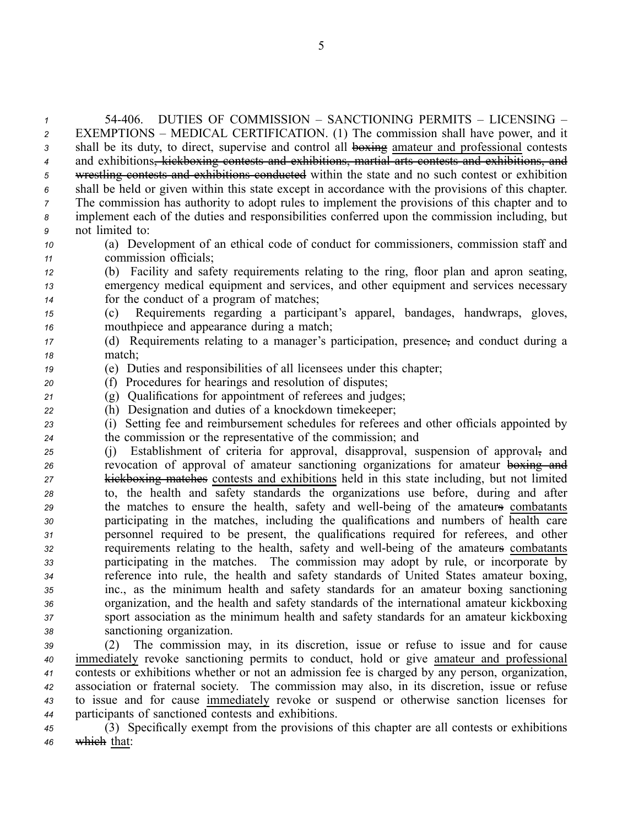54406. DUTIES OF COMMISSION – SANCTIONING PERMITS – LICENSING – EXEMPTIONS – MEDICAL CERTIFICATION. (1) The commission shall have power, and it 3 shall be its duty, to direct, supervise and control all boxing amateur and professional contests and exhibitions, kickboxing contests and exhibitions, martial arts contests and exhibitions, and wrestling contests and exhibitions conducted within the state and no such contest or exhibition shall be held or given within this state excep<sup>t</sup> in accordance with the provisions of this chapter. The commission has authority to adopt rules to implement the provisions of this chapter and to implement each of the duties and responsibilities conferred upon the commission including, but not limited to:

*<sup>10</sup>* (a) Development of an ethical code of conduct for commissioners, commission staff and *<sup>11</sup>* commission officials;

*<sup>12</sup>* (b) Facility and safety requirements relating to the ring, floor plan and apron seating, *<sup>13</sup>* emergency medical equipment and services, and other equipment and services necessary *<sup>14</sup>* for the conduct of <sup>a</sup> program of matches;

*<sup>15</sup>* (c) Requirements regarding <sup>a</sup> participant's apparel, bandages, handwraps, gloves, *<sup>16</sup>* mouthpiece and appearance during <sup>a</sup> match;

*<sup>17</sup>* (d) Requirements relating to <sup>a</sup> manager's participation, presence, and conduct during <sup>a</sup> *<sup>18</sup>* match;

- *<sup>19</sup>* (e) Duties and responsibilities of all licensees under this chapter;
- *<sup>20</sup>* (f) Procedures for hearings and resolution of disputes;
- *<sup>21</sup>* (g) Qualifications for appointment of referees and judges;
- *<sup>22</sup>* (h) Designation and duties of <sup>a</sup> knockdown timekeeper;

*<sup>23</sup>* (i) Setting fee and reimbursement schedules for referees and other officials appointed by *<sup>24</sup>* the commission or the representative of the commission; and

 (j) Establishment of criteria for approval, disapproval, suspension of approval, and revocation of approval of amateur sanctioning organizations for amateur boxing and kickboxing matches contests and exhibitions held in this state including, but not limited to, the health and safety standards the organizations use before, during and after the matches to ensure the health, safety and well-being of the amateurs combatants participating in the matches, including the qualifications and numbers of health care personnel required to be present, the qualifications required for referees, and other requirements relating to the health, safety and wellbeing of the amateurs combatants participating in the matches. The commission may adopt by rule, or incorporate by reference into rule, the health and safety standards of United States amateur boxing, inc., as the minimum health and safety standards for an amateur boxing sanctioning organization, and the health and safety standards of the international amateur kickboxing spor<sup>t</sup> association as the minimum health and safety standards for an amateur kickboxing sanctioning organization.

 (2) The commission may, in its discretion, issue or refuse to issue and for cause immediately revoke sanctioning permits to conduct, hold or give amateur and professional contests or exhibitions whether or not an admission fee is charged by any person, organization, association or fraternal society. The commission may also, in its discretion, issue or refuse to issue and for cause immediately revoke or suspend or otherwise sanction licenses for participants of sanctioned contests and exhibitions.

*<sup>45</sup>* (3) Specifically exemp<sup>t</sup> from the provisions of this chapter are all contests or exhibitions *<sup>46</sup>* which that: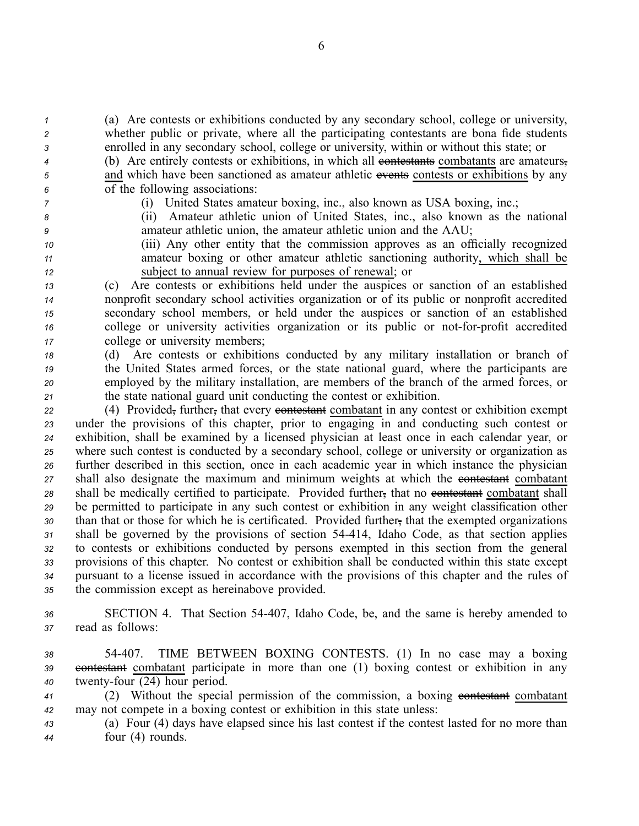*<sup>1</sup>* (a) Are contests or exhibitions conducted by any secondary school, college or university, *<sup>2</sup>* whether public or private, where all the participating contestants are bona fide students *<sup>3</sup>* enrolled in any secondary school, college or university, within or without this state; or

<sup>4</sup> (b) Are entirely contests or exhibitions, in which all **exitently** combatants are amateurs, <sup>5</sup> and which have been sanctioned as amateur athletic events contests or exhibitions by any *<sup>6</sup>* of the following associations:

- 
- 

*<sup>7</sup>* (i) United States amateur boxing, inc., also known as USA boxing, inc.;

*<sup>8</sup>* (ii) Amateur athletic union of United States, inc., also known as the national *<sup>9</sup>* amateur athletic union, the amateur athletic union and the AAU;

*<sup>10</sup>* (iii) Any other entity that the commission approves as an officially recognized *<sup>11</sup>* amateur boxing or other amateur athletic sanctioning authority, which shall be *<sup>12</sup>* subject to annual review for purposes of renewal; or

 (c) Are contests or exhibitions held under the auspices or sanction of an established nonprofit secondary school activities organization or of its public or nonprofit accredited secondary school members, or held under the auspices or sanction of an established college or university activities organization or its public or not-for-profit accredited college or university members;

 (d) Are contests or exhibitions conducted by any military installation or branch of the United States armed forces, or the state national guard, where the participants are employed by the military installation, are members of the branch of the armed forces, or the state national guard unit conducting the contest or exhibition.

22 (4) Provided, further, that every contestant combatant in any contest or exhibition exempt under the provisions of this chapter, prior to engaging in and conducting such contest or exhibition, shall be examined by <sup>a</sup> licensed physician at least once in each calendar year, or where such contest is conducted by <sup>a</sup> secondary school, college or university or organization as further described in this section, once in each academic year in which instance the physician shall also designate the maximum and minimum weights at which the contestant combatant 28 shall be medically certified to participate. Provided further, that no contestant combatant shall be permitted to participate in any such contest or exhibition in any weight classification other than that or those for which he is certificated. Provided further, that the exempted organizations shall be governed by the provisions of section 54414, Idaho Code, as that section applies to contests or exhibitions conducted by persons exempted in this section from the general provisions of this chapter. No contest or exhibition shall be conducted within this state excep<sup>t</sup> pursuan<sup>t</sup> to <sup>a</sup> license issued in accordance with the provisions of this chapter and the rules of the commission excep<sup>t</sup> as hereinabove provided.

*<sup>36</sup>* SECTION 4. That Section 54407, Idaho Code, be, and the same is hereby amended to *<sup>37</sup>* read as follows:

*<sup>38</sup>* 54407. TIME BETWEEN BOXING CONTESTS. (1) In no case may <sup>a</sup> boxing 39 contestant combatant participate in more than one (1) boxing contest or exhibition in any 40 twenty-four (24) hour period.

41 (2) Without the special permission of the commission, a boxing contestant combatant *<sup>42</sup>* may not compete in <sup>a</sup> boxing contest or exhibition in this state unless:

*<sup>43</sup>* (a) Four (4) days have elapsed since his last contest if the contest lasted for no more than *<sup>44</sup>* four (4) rounds.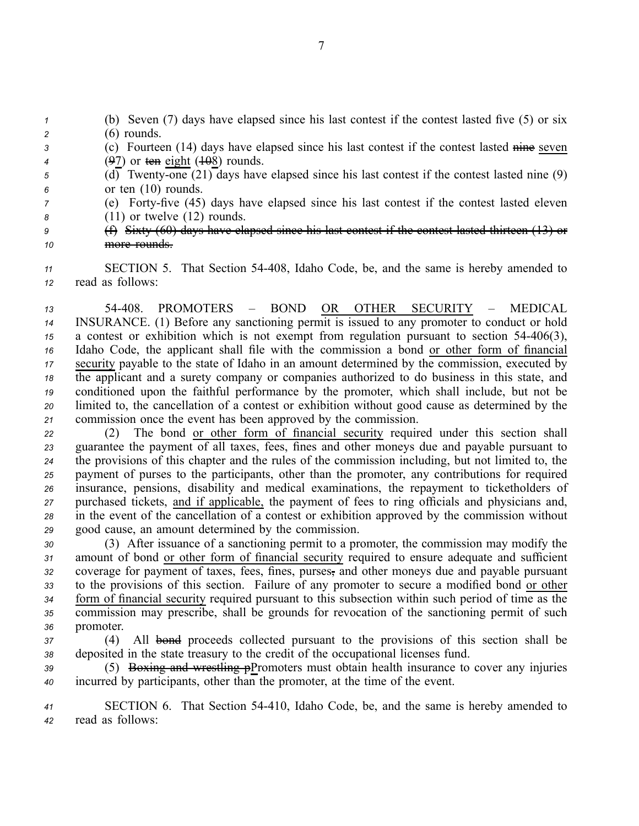(b) Seven (7) days have elapsed since his last contest if the contest lasted five (5) or six (6) rounds. (c) Fourteen (14) days have elapsed since his last contest if the contest lasted nine seven (97) or ten eight (108) rounds.  $\overline{5}$  (d) Twenty-one (21) days have elapsed since his last contest if the contest lasted nine (9) or ten (10) rounds. (e) Fortyfive (45) days have elapsed since his last contest if the contest lasted eleven (11) or twelve (12) rounds. (f) Sixty (60) days have elapsed since his last contest if the contest lasted thirteen (13) or

*<sup>10</sup>* more rounds.

*<sup>11</sup>* SECTION 5. That Section 54408, Idaho Code, be, and the same is hereby amended to *<sup>12</sup>* read as follows:

 54408. PROMOTERS – BOND OR OTHER SECURITY – MEDICAL INSURANCE. (1) Before any sanctioning permit is issued to any promoter to conduct or hold <sup>a</sup> contest or exhibition which is not exemp<sup>t</sup> from regulation pursuan<sup>t</sup> to section 54406(3), Idaho Code, the applicant shall file with the commission <sup>a</sup> bond or other form of financial security payable to the state of Idaho in an amount determined by the commission, executed by the applicant and <sup>a</sup> surety company or companies authorized to do business in this state, and conditioned upon the faithful performance by the promoter, which shall include, but not be limited to, the cancellation of <sup>a</sup> contest or exhibition without good cause as determined by the commission once the event has been approved by the commission.

 (2) The bond or other form of financial security required under this section shall guarantee the paymen<sup>t</sup> of all taxes, fees, fines and other moneys due and payable pursuan<sup>t</sup> to the provisions of this chapter and the rules of the commission including, but not limited to, the paymen<sup>t</sup> of purses to the participants, other than the promoter, any contributions for required insurance, pensions, disability and medical examinations, the repaymen<sup>t</sup> to ticketholders of purchased tickets, and if applicable, the paymen<sup>t</sup> of fees to ring officials and physicians and, in the event of the cancellation of <sup>a</sup> contest or exhibition approved by the commission without good cause, an amount determined by the commission.

 (3) After issuance of <sup>a</sup> sanctioning permit to <sup>a</sup> promoter, the commission may modify the amount of bond or other form of financial security required to ensure adequate and sufficient coverage for paymen<sup>t</sup> of taxes, fees, fines, purses, and other moneys due and payable pursuan<sup>t</sup> to the provisions of this section. Failure of any promoter to secure <sup>a</sup> modified bond or other form of financial security required pursuan<sup>t</sup> to this subsection within such period of time as the commission may prescribe, shall be grounds for revocation of the sanctioning permit of such promoter.

*<sup>37</sup>* (4) All bond proceeds collected pursuan<sup>t</sup> to the provisions of this section shall be *<sup>38</sup>* deposited in the state treasury to the credit of the occupational licenses fund.

*<sup>39</sup>* (5) Boxing and wrestling pPromoters must obtain health insurance to cover any injuries *<sup>40</sup>* incurred by participants, other than the promoter, at the time of the event.

*<sup>41</sup>* SECTION 6. That Section 54410, Idaho Code, be, and the same is hereby amended to *<sup>42</sup>* read as follows: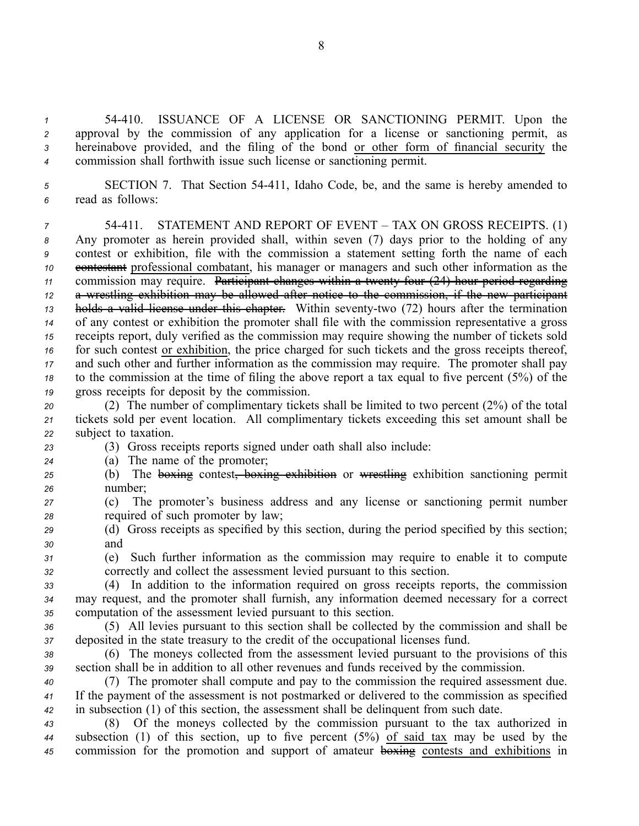54410. ISSUANCE OF A LICENSE OR SANCTIONING PERMIT. Upon the approval by the commission of any application for <sup>a</sup> license or sanctioning permit, as hereinabove provided, and the filing of the bond or other form of financial security the commission shall forthwith issue such license or sanctioning permit.

*<sup>5</sup>* SECTION 7. That Section 54411, Idaho Code, be, and the same is hereby amended to *<sup>6</sup>* read as follows:

 54411. STATEMENT AND REPORT OF EVENT – TAX ON GROSS RECEIPTS. (1) Any promoter as herein provided shall, within seven (7) days prior to the holding of any contest or exhibition, file with the commission <sup>a</sup> statement setting forth the name of each contestant professional combatant, his manager or managers and such other information as the 11 commission may require. Participant changes within a twenty four (24) hour period regarding <sup>a</sup> wrestling exhibition may be allowed after notice to the commission, if the new participant holds a valid license under this chapter. Within seventy-two (72) hours after the termination of any contest or exhibition the promoter shall file with the commission representative <sup>a</sup> gross receipts report, duly verified as the commission may require showing the number of tickets sold for such contest or exhibition, the price charged for such tickets and the gross receipts thereof, and such other and further information as the commission may require. The promoter shall pay to the commission at the time of filing the above repor<sup>t</sup> <sup>a</sup> tax equal to five percen<sup>t</sup> (5%) of the gross receipts for deposit by the commission.

*<sup>20</sup>* (2) The number of complimentary tickets shall be limited to two percen<sup>t</sup> (2%) of the total *<sup>21</sup>* tickets sold per event location. All complimentary tickets exceeding this set amount shall be *<sup>22</sup>* subject to taxation.

*<sup>23</sup>* (3) Gross receipts reports signed under oath shall also include:

*<sup>24</sup>* (a) The name of the promoter;

*<sup>25</sup>* (b) The boxing contest, boxing exhibition or wrestling exhibition sanctioning permit *<sup>26</sup>* number;

*<sup>27</sup>* (c) The promoter's business address and any license or sanctioning permit number *<sup>28</sup>* required of such promoter by law;

- *<sup>29</sup>* (d) Gross receipts as specified by this section, during the period specified by this section; *<sup>30</sup>* and
- *<sup>31</sup>* (e) Such further information as the commission may require to enable it to compute *<sup>32</sup>* correctly and collect the assessment levied pursuan<sup>t</sup> to this section.

*<sup>33</sup>* (4) In addition to the information required on gross receipts reports, the commission *<sup>34</sup>* may request, and the promoter shall furnish, any information deemed necessary for <sup>a</sup> correct *<sup>35</sup>* computation of the assessment levied pursuan<sup>t</sup> to this section.

*<sup>36</sup>* (5) All levies pursuan<sup>t</sup> to this section shall be collected by the commission and shall be *<sup>37</sup>* deposited in the state treasury to the credit of the occupational licenses fund.

*<sup>38</sup>* (6) The moneys collected from the assessment levied pursuan<sup>t</sup> to the provisions of this *<sup>39</sup>* section shall be in addition to all other revenues and funds received by the commission.

*<sup>40</sup>* (7) The promoter shall compute and pay to the commission the required assessment due. *<sup>41</sup>* If the paymen<sup>t</sup> of the assessment is not postmarked or delivered to the commission as specified *<sup>42</sup>* in subsection (1) of this section, the assessment shall be delinquent from such date.

*<sup>43</sup>* (8) Of the moneys collected by the commission pursuan<sup>t</sup> to the tax authorized in *<sup>44</sup>* subsection (1) of this section, up to five percen<sup>t</sup> (5%) of said tax may be used by the *<sup>45</sup>* commission for the promotion and suppor<sup>t</sup> of amateur boxing contests and exhibitions in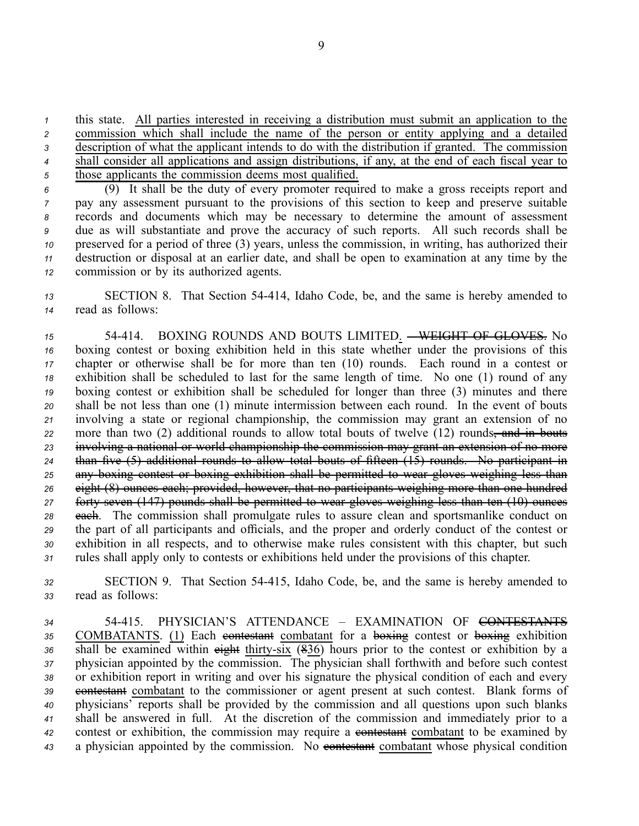*<sup>1</sup>* this state. All parties interested in receiving <sup>a</sup> distribution must submit an application to the

*<sup>2</sup>* commission which shall include the name of the person or entity applying and <sup>a</sup> detailed *<sup>3</sup>* description of what the applicant intends to do with the distribution if granted. The commission *<sup>4</sup>* shall consider all applications and assign distributions, if any, at the end of each fiscal year to

*<sup>5</sup>* those applicants the commission deems most qualified.

 (9) It shall be the duty of every promoter required to make <sup>a</sup> gross receipts repor<sup>t</sup> and pay any assessment pursuan<sup>t</sup> to the provisions of this section to keep and preserve suitable records and documents which may be necessary to determine the amount of assessment due as will substantiate and prove the accuracy of such reports. All such records shall be preserved for <sup>a</sup> period of three (3) years, unless the commission, in writing, has authorized their destruction or disposal at an earlier date, and shall be open to examination at any time by the commission or by its authorized agents.

*<sup>13</sup>* SECTION 8. That Section 54414, Idaho Code, be, and the same is hereby amended to *<sup>14</sup>* read as follows:

 54414. BOXING ROUNDS AND BOUTS LIMITED. – WEIGHT OF GLOVES. No boxing contest or boxing exhibition held in this state whether under the provisions of this chapter or otherwise shall be for more than ten (10) rounds. Each round in <sup>a</sup> contest or exhibition shall be scheduled to last for the same length of time. No one (1) round of any boxing contest or exhibition shall be scheduled for longer than three (3) minutes and there shall be not less than one (1) minute intermission between each round. In the event of bouts involving <sup>a</sup> state or regional championship, the commission may gran<sup>t</sup> an extension of no 22 more than two (2) additional rounds to allow total bouts of twelve (12) rounds, and in bouts involving <sup>a</sup> national or world championship the commission may gran<sup>t</sup> an extension of no more than five (5) additional rounds to allow total bouts of fifteen (15) rounds. No participant in any boxing contest or boxing exhibition shall be permitted to wear gloves weighing less than eight (8) ounces each; provided, however, that no participants weighing more than one hundred 27 forty seven (147) pounds shall be permitted to wear gloves weighing less than ten (10) ounces each. The commission shall promulgate rules to assure clean and sportsmanlike conduct on the par<sup>t</sup> of all participants and officials, and the proper and orderly conduct of the contest or exhibition in all respects, and to otherwise make rules consistent with this chapter, but such rules shall apply only to contests or exhibitions held under the provisions of this chapter.

*<sup>32</sup>* SECTION 9. That Section 54415, Idaho Code, be, and the same is hereby amended to *<sup>33</sup>* read as follows:

*34* 54415. PHYSICIAN'S ATTENDANCE – EXAMINATION OF CONTESTANTS 35 COMBATANTS. (1) Each contestant combatant for a boxing contest or boxing exhibition 36 shall be examined within eight thirty-six (836) hours prior to the contest or exhibition by a *<sup>37</sup>* physician appointed by the commission. The physician shall forthwith and before such contest *<sup>38</sup>* or exhibition repor<sup>t</sup> in writing and over his signature the physical condition of each and every 39 contestant combatant to the commissioner or agent present at such contest. Blank forms of *<sup>40</sup>* physicians' reports shall be provided by the commission and all questions upon such blanks *<sup>41</sup>* shall be answered in full. At the discretion of the commission and immediately prior to <sup>a</sup> 42 contest or exhibition, the commission may require a contestant combatant to be examined by 43 a physician appointed by the commission. No contestant combatant whose physical condition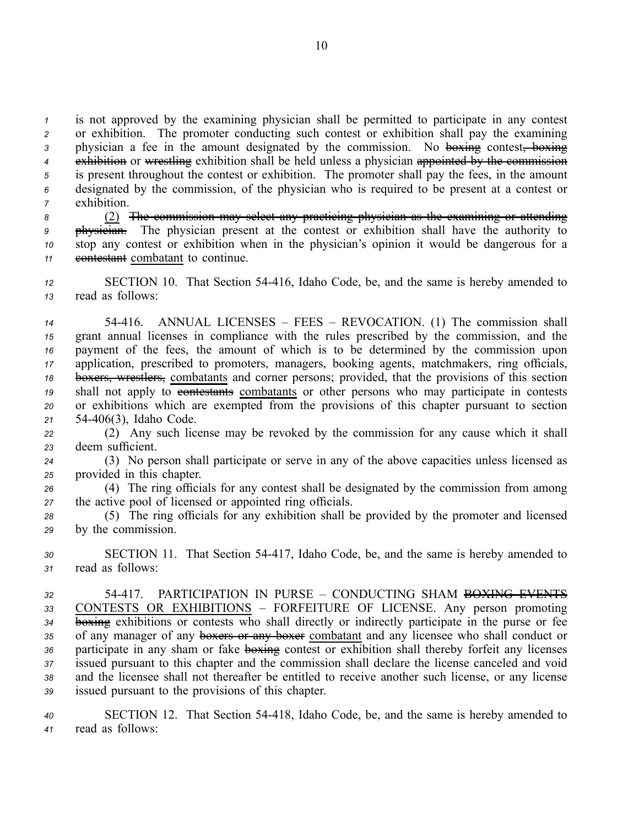is not approved by the examining physician shall be permitted to participate in any contest or exhibition. The promoter conducting such contest or exhibition shall pay the examining 3 physician a fee in the amount designated by the commission. No boxing contest, boxing exhibition or wrestling exhibition shall be held unless <sup>a</sup> physician appointed by the commission is presen<sup>t</sup> throughout the contest or exhibition. The promoter shall pay the fees, in the amount designated by the commission, of the physician who is required to be presen<sup>t</sup> at <sup>a</sup> contest or exhibition.

 (2) The commission may select any practicing physician as the examining or attending physician. The physician presen<sup>t</sup> at the contest or exhibition shall have the authority to stop any contest or exhibition when in the physician's opinion it would be dangerous for <sup>a</sup> **contestant** combatant to continue.

*<sup>12</sup>* SECTION 10. That Section 54416, Idaho Code, be, and the same is hereby amended to *<sup>13</sup>* read as follows:

 54416. ANNUAL LICENSES – FEES – REVOCATION. (1) The commission shall gran<sup>t</sup> annual licenses in compliance with the rules prescribed by the commission, and the paymen<sup>t</sup> of the fees, the amount of which is to be determined by the commission upon application, prescribed to promoters, managers, booking agents, matchmakers, ring officials, boxers, wrestlers, combatants and corner persons; provided, that the provisions of this section 19 shall not apply to contestants combatants or other persons who may participate in contests or exhibitions which are exempted from the provisions of this chapter pursuan<sup>t</sup> to section 54406(3), Idaho Code.

*<sup>22</sup>* (2) Any such license may be revoked by the commission for any cause which it shall *<sup>23</sup>* deem sufficient.

*<sup>24</sup>* (3) No person shall participate or serve in any of the above capacities unless licensed as *<sup>25</sup>* provided in this chapter.

*<sup>26</sup>* (4) The ring officials for any contest shall be designated by the commission from among *<sup>27</sup>* the active pool of licensed or appointed ring officials.

*<sup>28</sup>* (5) The ring officials for any exhibition shall be provided by the promoter and licensed *<sup>29</sup>* by the commission.

*<sup>30</sup>* SECTION 11. That Section 54417, Idaho Code, be, and the same is hereby amended to *<sup>31</sup>* read as follows:

 54417. PARTICIPATION IN PURSE – CONDUCTING SHAM BOXING EVENTS CONTESTS OR EXHIBITIONS – FORFEITURE OF LICENSE. Any person promoting boxing exhibitions or contests who shall directly or indirectly participate in the purse or fee 35 of any manager of any **boxers or any boxer** combatant and any licensee who shall conduct or 36 participate in any sham or fake **boxing** contest or exhibition shall thereby forfeit any licenses issued pursuan<sup>t</sup> to this chapter and the commission shall declare the license canceled and void and the licensee shall not thereafter be entitled to receive another such license, or any license issued pursuan<sup>t</sup> to the provisions of this chapter.

*<sup>40</sup>* SECTION 12. That Section 54418, Idaho Code, be, and the same is hereby amended to *<sup>41</sup>* read as follows: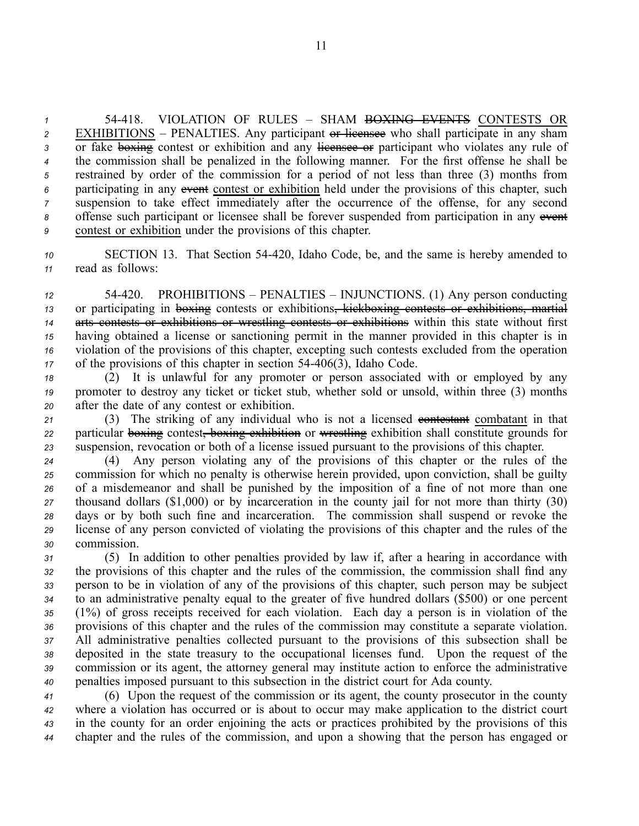54418. VIOLATION OF RULES – SHAM BOXING EVENTS CONTESTS OR EXHIBITIONS – PENALTIES. Any participant or licensee who shall participate in any sham 3 or fake boxing contest or exhibition and any licensee or participant who violates any rule of the commission shall be penalized in the following manner. For the first offense he shall be restrained by order of the commission for <sup>a</sup> period of not less than three (3) months from participating in any event contest or exhibition held under the provisions of this chapter, such suspension to take effect immediately after the occurrence of the offense, for any second offense such participant or licensee shall be forever suspended from participation in any event contest or exhibition under the provisions of this chapter.

*<sup>10</sup>* SECTION 13. That Section 54420, Idaho Code, be, and the same is hereby amended to *<sup>11</sup>* read as follows:

 54420. PROHIBITIONS – PENALTIES – INJUNCTIONS. (1) Any person conducting or participating in boxing contests or exhibitions, kickboxing contests or exhibitions, martial arts contests or exhibitions or wrestling contests or exhibitions within this state without first having obtained <sup>a</sup> license or sanctioning permit in the manner provided in this chapter is in violation of the provisions of this chapter, excepting such contests excluded from the operation 17 of the provisions of this chapter in section 54-406(3), Idaho Code.

*<sup>18</sup>* (2) It is unlawful for any promoter or person associated with or employed by any *<sup>19</sup>* promoter to destroy any ticket or ticket stub, whether sold or unsold, within three (3) months *<sup>20</sup>* after the date of any contest or exhibition.

21 (3) The striking of any individual who is not a licensed contestant combatant in that *<sup>22</sup>* particular boxing contest, boxing exhibition or wrestling exhibition shall constitute grounds for *<sup>23</sup>* suspension, revocation or both of <sup>a</sup> license issued pursuan<sup>t</sup> to the provisions of this chapter.

 (4) Any person violating any of the provisions of this chapter or the rules of the commission for which no penalty is otherwise herein provided, upon conviction, shall be guilty of <sup>a</sup> misdemeanor and shall be punished by the imposition of <sup>a</sup> fine of not more than one thousand dollars (\$1,000) or by incarceration in the county jail for not more than thirty (30) days or by both such fine and incarceration. The commission shall suspend or revoke the license of any person convicted of violating the provisions of this chapter and the rules of the commission.

 (5) In addition to other penalties provided by law if, after <sup>a</sup> hearing in accordance with the provisions of this chapter and the rules of the commission, the commission shall find any person to be in violation of any of the provisions of this chapter, such person may be subject to an administrative penalty equal to the greater of five hundred dollars (\$500) or one percen<sup>t</sup> (1%) of gross receipts received for each violation. Each day <sup>a</sup> person is in violation of the provisions of this chapter and the rules of the commission may constitute <sup>a</sup> separate violation. All administrative penalties collected pursuan<sup>t</sup> to the provisions of this subsection shall be deposited in the state treasury to the occupational licenses fund. Upon the reques<sup>t</sup> of the commission or its agent, the attorney general may institute action to enforce the administrative penalties imposed pursuan<sup>t</sup> to this subsection in the district court for Ada county.

 (6) Upon the reques<sup>t</sup> of the commission or its agent, the county prosecutor in the county where <sup>a</sup> violation has occurred or is about to occur may make application to the district court in the county for an order enjoining the acts or practices prohibited by the provisions of this chapter and the rules of the commission, and upon <sup>a</sup> showing that the person has engaged or